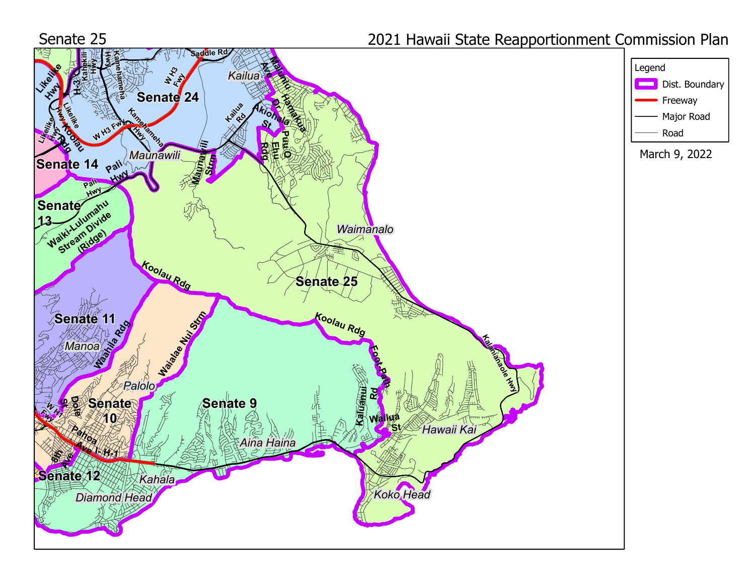